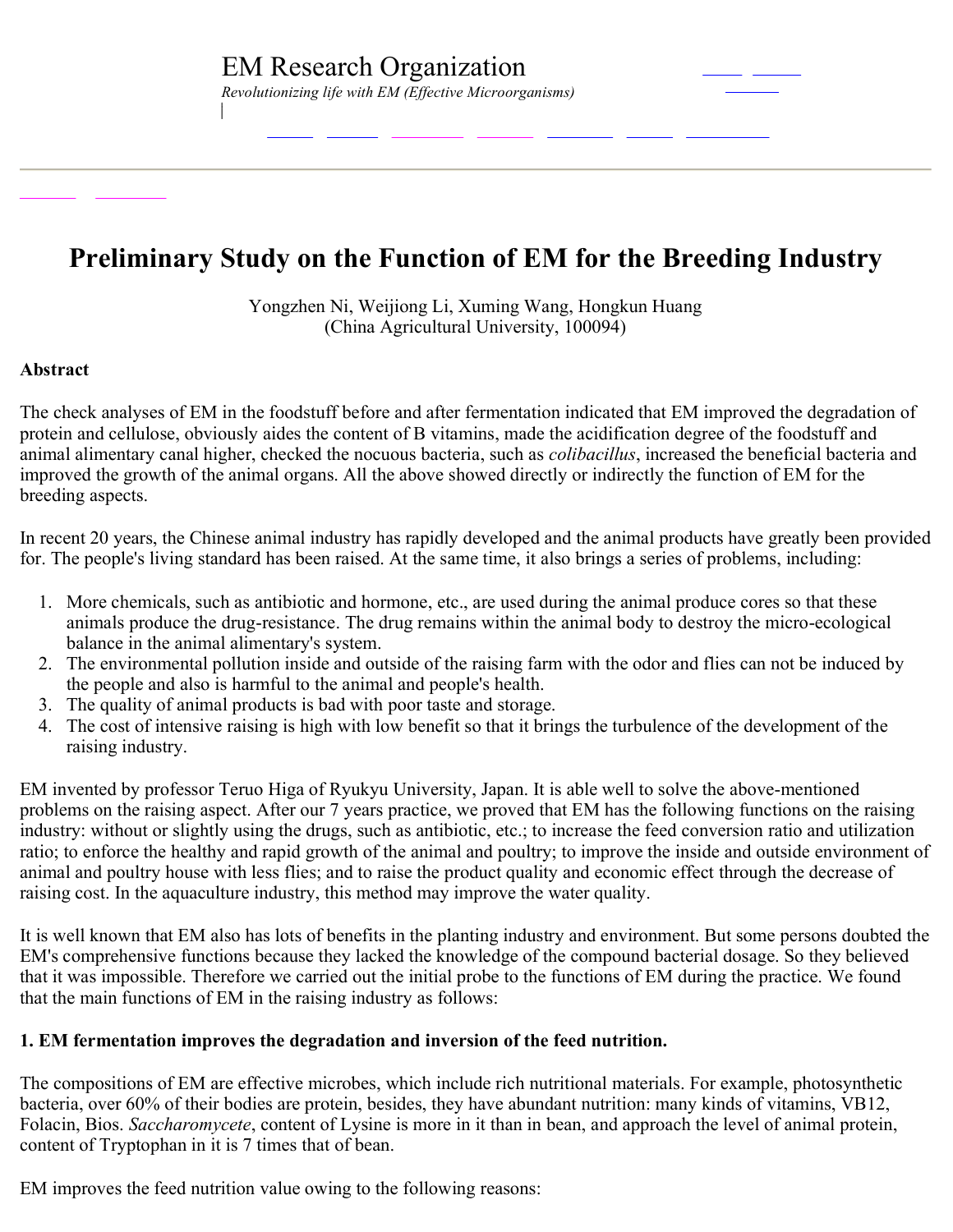# **Preliminary Study on the Function of EM for the Breeding Industry**

Yongzhen Ni, Weijiong Li, Xuming Wang, Hongkun Huang (China Agricultural University, 100094)

### **Abstract**

The check analyses of EM in the foodstuff before and after fermentation indicated that EM improved the degradation of protein and cellulose, obviously aides the content of B vitamins, made the acidification degree of the foodstuff and animal alimentary canal higher, checked the nocuous bacteria, such as *colibacillus*, increased the beneficial bacteria and improved the growth of the animal organs. All the above showed directly or indirectly the function of EM for the breeding aspects.

In recent 20 years, the Chinese animal industry has rapidly developed and the animal products have greatly been provided for. The people's living standard has been raised. At the same time, it also brings a series of problems, including:

- 1. More chemicals, such as antibiotic and hormone, etc., are used during the animal produce cores so that these animals produce the drug-resistance. The drug remains within the animal body to destroy the micro-ecological balance in the animal alimentary's system.
- 2. The environmental pollution inside and outside of the raising farm with the odor and flies can not be induced by the people and also is harmful to the animal and people's health.
- 3. The quality of animal products is bad with poor taste and storage.
- 4. The cost of intensive raising is high with low benefit so that it brings the turbulence of the development of the raising industry.

EM invented by professor Teruo Higa of Ryukyu University, Japan. It is able well to solve the abovementioned problems on the raising aspect. After our 7 years practice, we proved that EM has the following functions on the raising industry: without or slightly using the drugs, such as antibiotic, etc.; to increase the feed conversion ratio and utilization ratio; to enforce the healthy and rapid growth of the animal and poultry; to improve the inside and outside environment of animal and poultry house with less flies; and to raise the product quality and economic effect through the decrease of raising cost. In the aquaculture industry, this method may improve the water quality.

It is well known that EM also has lots of benefits in the planting industry and environment. But some persons doubted the EM's comprehensive functions because they lacked the knowledge of the compound bacterial dosage. So they believed that it was impossible. Therefore we carried out the initial probe to the functions of EM during the practice. We found that the main functions of EM in the raising industry as follows:

### **1. EM fermentation improves the degradation and inversion of the feed nutrition.**

The compositions of EM are effective microbes, which include rich nutritional materials. For example, photosynthetic bacteria, over 60% of their bodies are protein, besides, they have abundant nutrition: many kinds of vitamins, VB12, Folacin, Bios. *Saccharomycete*, content of Lysine is more in it than in bean, and approach the level of animal protein, content of Tryptophan in it is 7 times that of bean.

EM improves the feed nutrition value owing to the following reasons: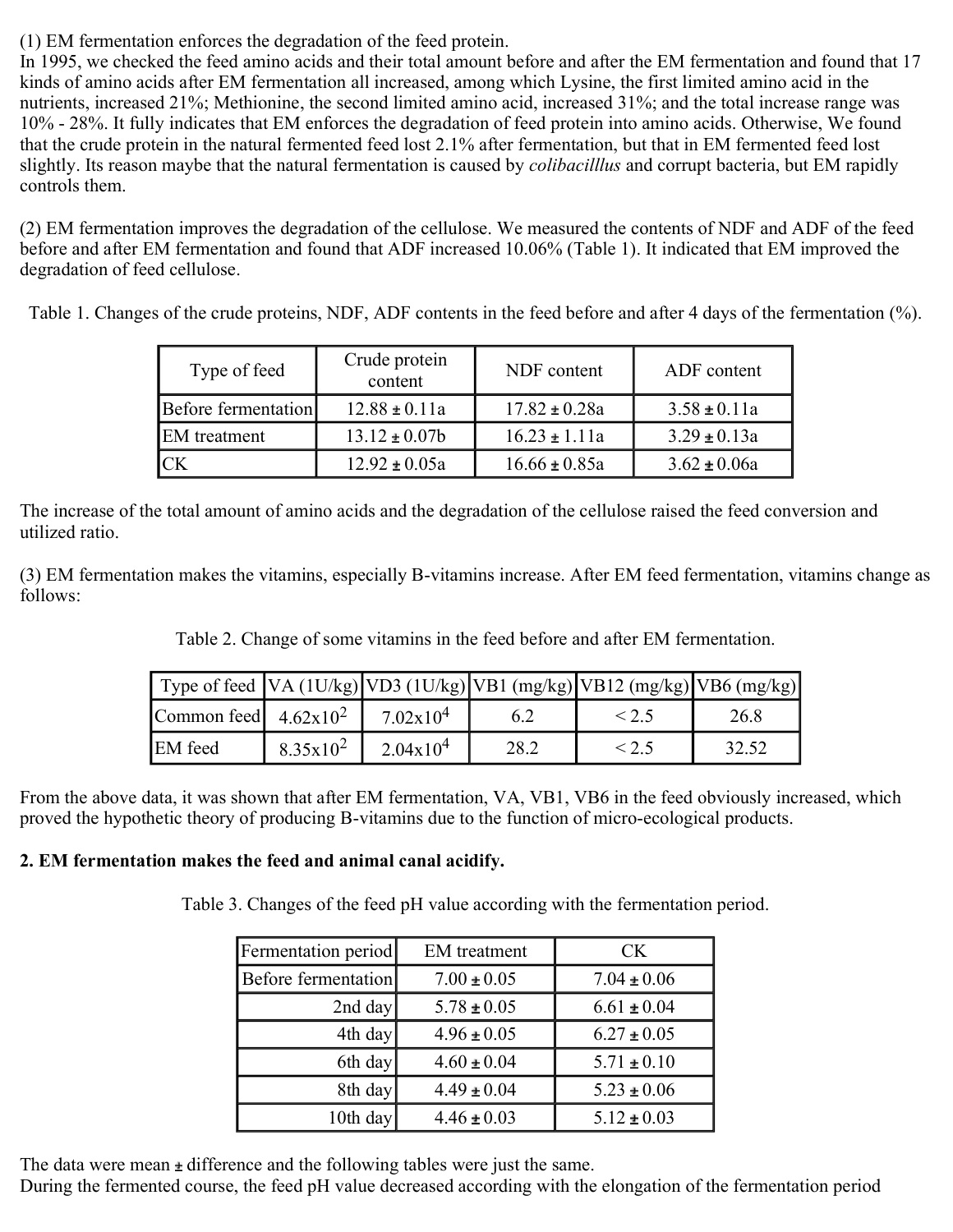(1) EM fermentation enforces the degradation of the feed protein.

In 1995, we checked the feed amino acids and their total amount before and after the EM fermentation and found that 17 kinds of amino acids after EM fermentation all increased, among which Lysine, the first limited amino acid in the nutrients, increased 21%; Methionine, the second limited amino acid, increased 31%; and the total increase range was 10% 28%. It fully indicates that EM enforces the degradation of feed protein into amino acids. Otherwise, We found that the crude protein in the natural fermented feed lost 2.1% after fermentation, but that in EM fermented feed lost slightly. Its reason maybe that the natural fermentation is caused by *colibacilllus* and corrupt bacteria, but EM rapidly controls them.

(2) EM fermentation improves the degradation of the cellulose. We measured the contents of NDF and ADF of the feed before and after EM fermentation and found that ADF increased 10.06% (Table 1). It indicated that EM improved the degradation of feed cellulose.

Table 1. Changes of the crude proteins, NDF, ADF contents in the feed before and after 4 days of the fermentation (%).

| Type of feed        | Crude protein<br>content | NDF content       | ADF content      |
|---------------------|--------------------------|-------------------|------------------|
| Before fermentation | $12.88 \pm 0.11a$        | $17.82 \pm 0.28a$ | $3.58 \pm 0.11a$ |
| <b>EM</b> treatment | $13.12 \pm 0.07b$        | $16.23 \pm 1.11a$ | $3.29 \pm 0.13a$ |
| CK                  | $12.92 \pm 0.05a$        | $16.66 \pm 0.85a$ | $3.62 \pm 0.06a$ |

The increase of the total amount of amino acids and the degradation of the cellulose raised the feed conversion and utilized ratio.

(3) EM fermentation makes the vitamins, especially B-vitamins increase. After EM feed fermentation, vitamins change as follows:

Table 2. Change of some vitamins in the feed before and after EM fermentation.

|                         |             |                    |      | Type of feed $\left  VA \right  (1U/kg) \left  VD3 \left( 1U/kg \right) \right  VB1 \left( mg/kg \right) \left  VB12 \left( mg/kg \right) \right  VB6 \left( mg/kg \right) \right $ |       |
|-------------------------|-------------|--------------------|------|-------------------------------------------------------------------------------------------------------------------------------------------------------------------------------------|-------|
| Common feed $4.62x10^2$ |             | $7.02 \times 10^4$ |      |                                                                                                                                                                                     | 26.8  |
| <b>EM</b> feed          | $8.35x10^2$ | $2.04x10^4$        | 28.2 |                                                                                                                                                                                     | 32.52 |

From the above data, it was shown that after EM fermentation, VA, VB1, VB6 in the feed obviously increased, which proved the hypothetic theory of producing B-vitamins due to the function of micro-ecological products.

## **2. EM fermentation makes the feed and animal canal acidify.**

Table 3. Changes of the feed pH value according with the fermentation period.

| Fermentation period | <b>EM</b> treatment | <b>CK</b>       |  |
|---------------------|---------------------|-----------------|--|
| Before fermentation | $7.00 \pm 0.05$     | $7.04 \pm 0.06$ |  |
| 2nd day             | $5.78 \pm 0.05$     | $6.61 \pm 0.04$ |  |
| 4th day             | $4.96 \pm 0.05$     | $6.27 \pm 0.05$ |  |
| 6th day             | $4.60 \pm 0.04$     | $5.71 \pm 0.10$ |  |
| 8th day             | $4.49 \pm 0.04$     | $5.23 \pm 0.06$ |  |
| 10th day            | $4.46 \pm 0.03$     | $5.12 \pm 0.03$ |  |

The data were mean  $\pm$  difference and the following tables were just the same.

During the fermented course, the feed pH value decreased according with the elongation of the fermentation period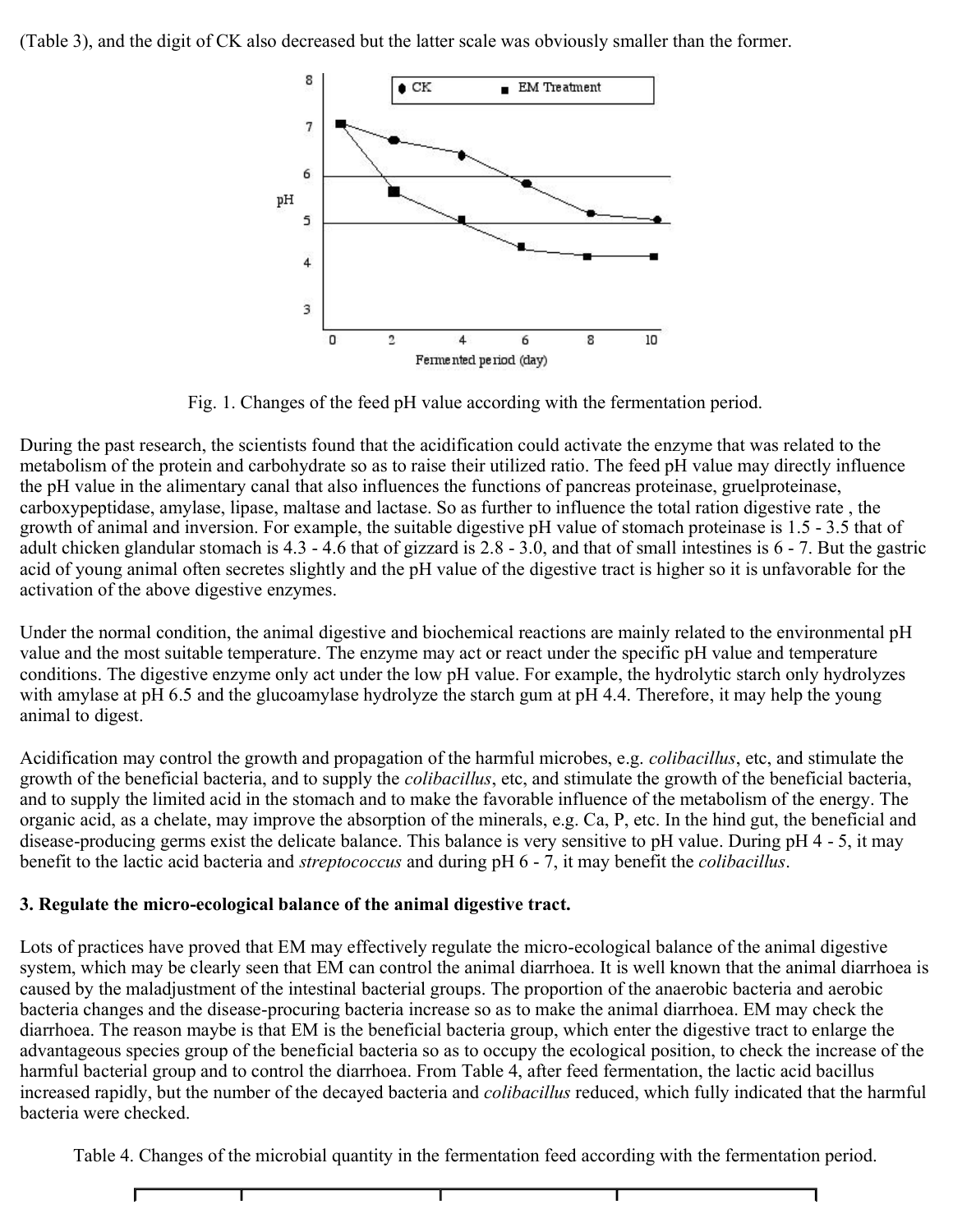(Table 3), and the digit of CK also decreased but the latter scale was obviously smaller than the former.



Fig. 1. Changes of the feed pH value according with the fermentation period.

During the past research, the scientists found that the acidification could activate the enzyme that was related to the metabolism of the protein and carbohydrate so as to raise their utilized ratio. The feed pH value may directly influence the pH value in the alimentary canal that also influences the functions of pancreas proteinase, gruelproteinase, carboxypeptidase, amylase, lipase, maltase and lactase. So as further to influence the total ration digestive rate , the growth of animal and inversion. For example, the suitable digestive pH value of stomach proteinase is 1.5 - 3.5 that of adult chicken glandular stomach is  $4.3 - 4.6$  that of gizzard is  $2.8 - 3.0$ , and that of small intestines is  $6 - 7$ . But the gastric acid of young animal often secretes slightly and the pH value of the digestive tract is higher so it is unfavorable for the activation of the above digestive enzymes.

Under the normal condition, the animal digestive and biochemical reactions are mainly related to the environmental pH value and the most suitable temperature. The enzyme may act or react under the specific pH value and temperature conditions. The digestive enzyme only act under the low pH value. For example, the hydrolytic starch only hydrolyzes with amylase at pH 6.5 and the glucoamylase hydrolyze the starch gum at pH 4.4. Therefore, it may help the young animal to digest.

Acidification may control the growth and propagation of the harmful microbes, e.g. *colibacillus*, etc, and stimulate the growth of the beneficial bacteria, and to supply the *colibacillus*, etc, and stimulate the growth of the beneficial bacteria, and to supply the limited acid in the stomach and to make the favorable influence of the metabolism of the energy. The organic acid, as a chelate, may improve the absorption of the minerals, e.g. Ca, P, etc. In the hind gut, the beneficial and disease-producing germs exist the delicate balance. This balance is very sensitive to pH value. During  $pH 4 - 5$ , it may benefit to the lactic acid bacteria and *streptococcus* and during pH 6 7, it may benefit the *colibacillus*.

## **3.** Regulate the micro-ecological balance of the animal digestive tract.

Lots of practices have proved that EM may effectively regulate the micro-ecological balance of the animal digestive system, which may be clearly seen that EM can control the animal diarrhoea. It is well known that the animal diarrhoea is caused by the maladjustment of the intestinal bacterial groups. The proportion of the anaerobic bacteria and aerobic bacteria changes and the disease-procuring bacteria increase so as to make the animal diarrhoea. EM may check the diarrhoea. The reason maybe is that EM is the beneficial bacteria group, which enter the digestive tract to enlarge the advantageous species group of the beneficial bacteria so as to occupy the ecological position, to check the increase of the harmful bacterial group and to control the diarrhoea. From Table 4, after feed fermentation, the lactic acid bacillus increased rapidly, but the number of the decayed bacteria and *colibacillus* reduced, which fully indicated that the harmful bacteria were checked.

Table 4. Changes of the microbial quantity in the fermentation feed according with the fermentation period.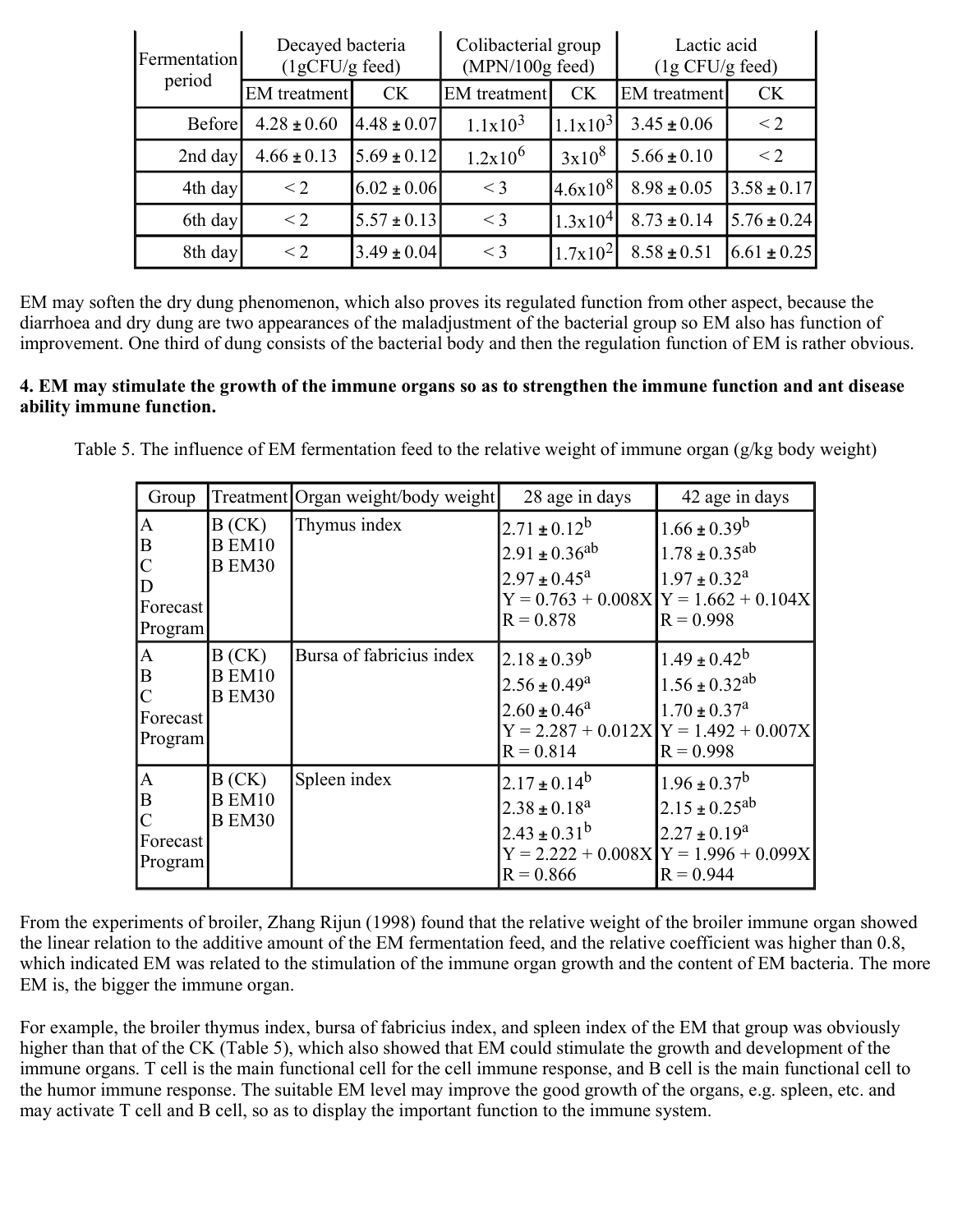| Decayed bacteria<br>Fermentation<br>$(1gCFU/g$ feed) |                 | Colibacterial group<br>$(MPN/100g$ feed) |                     | Lactic acid<br>(1g CFU/g feed) |                     |                 |
|------------------------------------------------------|-----------------|------------------------------------------|---------------------|--------------------------------|---------------------|-----------------|
| period                                               | EM treatment    | <b>CK</b>                                | <b>EM</b> treatment | <b>CK</b>                      | <b>EM</b> treatment | <b>CK</b>       |
| Before                                               | $4.28 \pm 0.60$ | $4.48 \pm 0.07$                          | $1.1x10^3$          | $1.1x10^3$                     | $3.45 \pm 0.06$     | $<$ 2           |
| 2nd day                                              | $4.66 \pm 0.13$ | $5.69 \pm 0.12$                          | $1.2x10^6$          | 3x10 <sup>8</sup>              | $5.66 \pm 0.10$     | $<$ 2           |
| 4th day                                              | $\leq$ 2        | $6.02 \pm 0.06$                          | $<$ 3               | $4.6x10^{8}$                   | $8.98 \pm 0.05$     | $3.58 \pm 0.17$ |
| 6th day                                              | $<$ 2           | $5.57 \pm 0.13$                          | $\leq$ 3            | 1.3x10 <sup>4</sup>            | $8.73 \pm 0.14$     | $5.76 \pm 0.24$ |
| 8th day                                              | $\leq$ 2        | $3.49 \pm 0.04$                          | $\leq$ 3            | $1.7x10^2$                     | $8.58 \pm 0.51$     | $6.61 \pm 0.25$ |

EM may soften the dry dung phenomenon, which also proves its regulated function from other aspect, because the diarrhoea and dry dung are two appearances of the maladjustment of the bacterial group so EM also has function of improvement. One third of dung consists of the bacterial body and then the regulation function of EM is rather obvious.

## **4. EM may stimulate the growth of the immune organs so as to strengthen the immune function and ant disease ability immune function.**

Table 5. The influence of EM fermentation feed to the relative weight of immune organ (g/kg body weight)

| Group                                               |                                         | Treatment Organ weight/body weight | 28 age in days                                                                | 42 age in days                                                                                                                      |
|-----------------------------------------------------|-----------------------------------------|------------------------------------|-------------------------------------------------------------------------------|-------------------------------------------------------------------------------------------------------------------------------------|
| A<br>B<br>$\mathcal{C}$<br>D<br>Forecast<br>Program | B(CK)<br><b>B</b> EM10<br><b>B</b> EM30 | Thymus index                       | $2.71 \pm 0.12^b$<br>$2.91 \pm 0.36^{ab}$<br>$2.97 \pm 0.45^a$<br>$R = 0.878$ | $1.66 \pm 0.39^b$<br>$1.78 \pm 0.35$ <sup>ab</sup><br>$1.97 \pm 0.32^a$<br>$Y = 0.763 + 0.008X$ $Y = 1.662 + 0.104X$<br>$R = 0.998$ |
| A <br>B<br>$\overline{C}$<br>Forecast<br>Program    | B(CK)<br><b>B</b> EM10<br><b>B</b> EM30 | Bursa of fabricius index           | $2.18 \pm 0.39^b$<br>$2.56 \pm 0.49^a$<br>$2.60 \pm 0.46^a$<br>$R = 0.814$    | $1.49 \pm 0.42^b$<br>$1.56 \pm 0.32$ <sup>ab</sup><br>$1.70 \pm 0.37^a$<br>$Y = 2.287 + 0.012X$ $Y = 1.492 + 0.007X$<br>$R = 0.998$ |
| A<br>ΙB<br> C <br>Forecast<br>Program               | B(CK)<br><b>B</b> EM10<br><b>B</b> EM30 | Spleen index                       | $2.17 \pm 0.14^b$<br>$2.38 \pm 0.18^a$<br>$2.43 \pm 0.31^{b}$<br>$R = 0.866$  | $1.96 \pm 0.37^b$<br>$2.15 \pm 0.25^{ab}$<br>$2.27 \pm 0.19^a$<br>$Y = 2.222 + 0.008X$ $Y = 1.996 + 0.099X$<br>$R = 0.944$          |

From the experiments of broiler, Zhang Rijun (1998) found that the relative weight of the broiler immune organ showed the linear relation to the additive amount of the EM fermentation feed, and the relative coefficient was higher than 0.8, which indicated EM was related to the stimulation of the immune organ growth and the content of EM bacteria. The more EM is, the bigger the immune organ.

For example, the broiler thymus index, bursa of fabricius index, and spleen index of the EM that group was obviously higher than that of the CK (Table 5), which also showed that EM could stimulate the growth and development of the immune organs. T cell is the main functional cell for the cell immune response, and B cell is the main functional cell to the humor immune response. The suitable EM level may improve the good growth of the organs, e.g. spleen, etc. and may activate T cell and B cell, so as to display the important function to the immune system.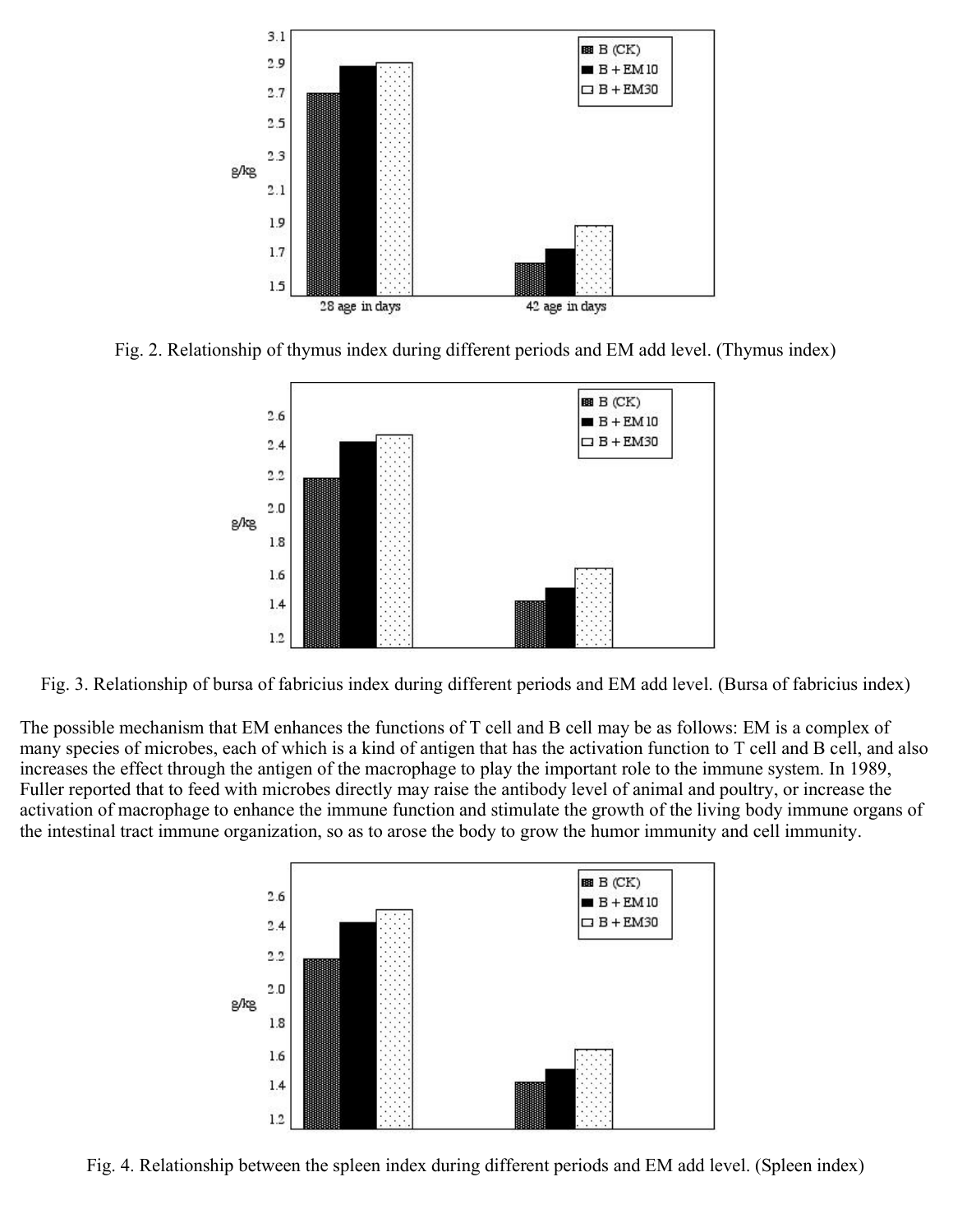

Fig. 2. Relationship of thymus index during different periods and EM add level. (Thymus index)



Fig. 3. Relationship of bursa of fabricius index during different periods and EM add level. (Bursa of fabricius index)

The possible mechanism that EM enhances the functions of T cell and B cell may be as follows: EM is a complex of many species of microbes, each of which is a kind of antigen that has the activation function to T cell and B cell, and also increases the effect through the antigen of the macrophage to play the important role to the immune system. In 1989, Fuller reported that to feed with microbes directly may raise the antibody level of animal and poultry, or increase the activation of macrophage to enhance the immune function and stimulate the growth of the living body immune organs of the intestinal tract immune organization, so as to arose the body to grow the humor immunity and cell immunity.



Fig. 4. Relationship between the spleen index during different periods and EM add level. (Spleen index)